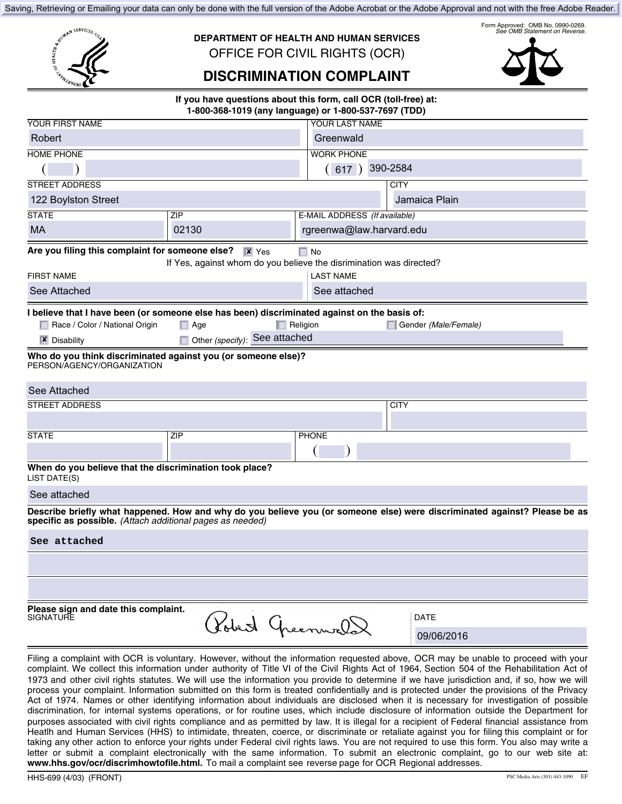Saving, Retrieving or Emailing your data can only be done with the full version of the Adobe Acrobat or the Adobe Approval and not with the free Adobe Reader.

**DEPARTMENT OF HEALTH AND HUMAN SERVICES**  OFFICE FOR CIVIL RIGHTS (OCR)

Form Approved: OMB No. 0990-0269. *See OMB Statement on Reverse.* 

# **DISCRIMINATION COMPLAINT**

**If you have questions about this form, call OCR (toll-free) at: 1-800-368-1019 (any language) or 1-800-537-7697 (TDD)** 

| <b>YOUR FIRST NAME</b>                                                                                                                                                                 |                               | YOUR LAST NAME                |                          |  |  |  |  |
|----------------------------------------------------------------------------------------------------------------------------------------------------------------------------------------|-------------------------------|-------------------------------|--------------------------|--|--|--|--|
| Robert                                                                                                                                                                                 |                               | Greenwald                     |                          |  |  |  |  |
| <b>HOME PHONE</b>                                                                                                                                                                      |                               | <b>WORK PHONE</b>             |                          |  |  |  |  |
|                                                                                                                                                                                        |                               | (617)                         | 390-2584                 |  |  |  |  |
| <b>STREET ADDRESS</b>                                                                                                                                                                  |                               |                               | <b>CITY</b>              |  |  |  |  |
| 122 Boylston Street                                                                                                                                                                    |                               |                               | Jamaica Plain            |  |  |  |  |
| <b>STATE</b>                                                                                                                                                                           | ZIP                           | E-MAIL ADDRESS (If available) |                          |  |  |  |  |
| <b>MA</b>                                                                                                                                                                              | 02130                         |                               | rgreenwa@law.harvard.edu |  |  |  |  |
| Are you filing this complaint for someone else?<br>$\overline{\mathbf{x}}$ Yes<br>$\Box$ No<br>If Yes, against whom do you believe the disrimination was directed?                     |                               |                               |                          |  |  |  |  |
| <b>FIRST NAME</b>                                                                                                                                                                      |                               | <b>LAST NAME</b>              |                          |  |  |  |  |
| See Attached                                                                                                                                                                           |                               | See attached                  |                          |  |  |  |  |
| I believe that I have been (or someone else has been) discriminated against on the basis of:<br>Race / Color / National Origin                                                         | $\Box$ Age                    | $\Box$ Religion               | Gender (Male/Female)     |  |  |  |  |
| $\mathbf{\overline{X}}$ Disability                                                                                                                                                     | Other (specify): See attached |                               |                          |  |  |  |  |
| Who do you think discriminated against you (or someone else)?<br>PERSON/AGENCY/ORGANIZATION                                                                                            |                               |                               |                          |  |  |  |  |
| See Attached                                                                                                                                                                           |                               |                               |                          |  |  |  |  |
| <b>STREET ADDRESS</b>                                                                                                                                                                  |                               |                               | <b>CITY</b>              |  |  |  |  |
|                                                                                                                                                                                        |                               |                               |                          |  |  |  |  |
| <b>STATE</b>                                                                                                                                                                           | <b>ZIP</b>                    | <b>PHONE</b>                  |                          |  |  |  |  |
|                                                                                                                                                                                        |                               |                               |                          |  |  |  |  |
| When do you believe that the discrimination took place?<br>LIST DATE(S)                                                                                                                |                               |                               |                          |  |  |  |  |
| See attached                                                                                                                                                                           |                               |                               |                          |  |  |  |  |
| Describe briefly what happened. How and why do you believe you (or someone else) were discriminated against? Please be as<br>specific as possible. (Attach additional pages as needed) |                               |                               |                          |  |  |  |  |
| See attached                                                                                                                                                                           |                               |                               |                          |  |  |  |  |
|                                                                                                                                                                                        |                               |                               |                          |  |  |  |  |
|                                                                                                                                                                                        |                               |                               |                          |  |  |  |  |
| Please sign and date this complaint.<br>SIGNATURE                                                                                                                                      | Robert Greenwal               |                               | <b>DATE</b>              |  |  |  |  |
|                                                                                                                                                                                        |                               |                               | 09/06/2016               |  |  |  |  |

Filing a complaint with OCR is voluntary. However, without the information requested above, OCR may be unable to proceed with your complaint. We collect this information under authority of Title VI of the Civil Rights Act of 1964, Section 504 of the Rehabilitation Act of 1973 and other civil rights statutes. We will use the information you provide to determine if we have jurisdiction and, if so, how we will process your complaint. Information submitted on this form is treated confidentially and is protected under the provisions of the Privacy Act of 1974. Names or other identifying information about individuals are disclosed when it is necessary for investigation of possible discrimination, for internal systems operations, or for routine uses, which include disclosure of information outside the Department for purposes associated with civil rights compliance and as permitted by law. It is illegal for a recipient of Federal financial assistance from Heatlh and Human Services (HHS) to intimidate, threaten, coerce, or discriminate or retaliate against you for filing this complaint or for taking any other action to enforce your rights under Federal civil rights laws. You are not required to use this form. You also may write a letter or submit a complaint electronically with the same information. To submit an electronic complaint, go to our web site at: **www.hhs.gov/ocr/discrimhowtofile.html.** To mail a complaint see reverse page for OCR Regional addresses.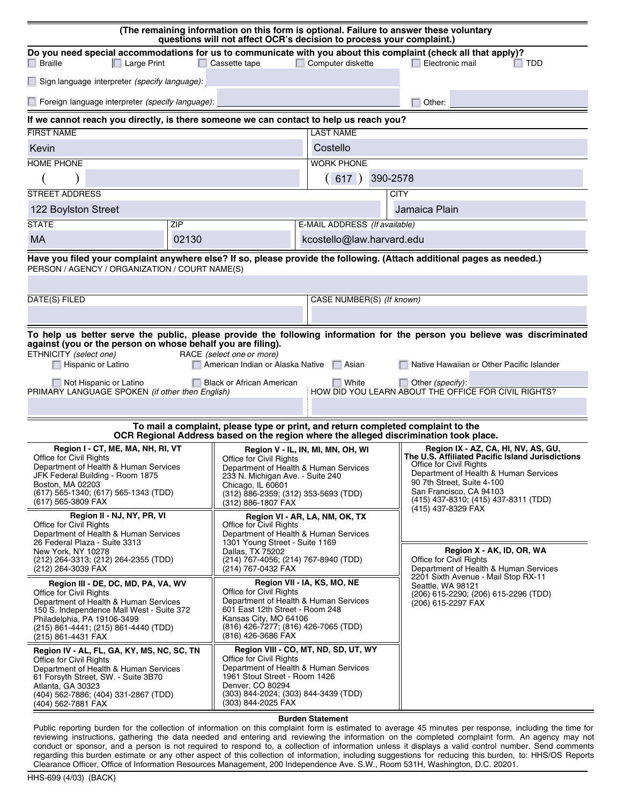| (The remaining information on this form is optional. Failure to answer these voluntary<br>questions will not affect OCR's decision to process your complaint.)                                                                                                                                                                                                                                                                                                                                                                                                              |                                                                                                                                                                                            |                                                                                                                                                                                                                                                            |                                                                               |                                                                                                                                                                                                                                                                                    |                                                                                                                        |  |  |  |
|-----------------------------------------------------------------------------------------------------------------------------------------------------------------------------------------------------------------------------------------------------------------------------------------------------------------------------------------------------------------------------------------------------------------------------------------------------------------------------------------------------------------------------------------------------------------------------|--------------------------------------------------------------------------------------------------------------------------------------------------------------------------------------------|------------------------------------------------------------------------------------------------------------------------------------------------------------------------------------------------------------------------------------------------------------|-------------------------------------------------------------------------------|------------------------------------------------------------------------------------------------------------------------------------------------------------------------------------------------------------------------------------------------------------------------------------|------------------------------------------------------------------------------------------------------------------------|--|--|--|
| Do you need special accommodations for us to communicate with you about this complaint (check all that apply)?<br>$\Box$ Braille<br>$\Box$ Large Print                                                                                                                                                                                                                                                                                                                                                                                                                      |                                                                                                                                                                                            | $\Box$ Cassette tape                                                                                                                                                                                                                                       | $\Box$ Computer diskette                                                      |                                                                                                                                                                                                                                                                                    | $\Box$ Electronic mail<br>$\Box$ TDD                                                                                   |  |  |  |
| $\Box$ Sign language interpreter <i>(specify language)</i> :                                                                                                                                                                                                                                                                                                                                                                                                                                                                                                                |                                                                                                                                                                                            |                                                                                                                                                                                                                                                            |                                                                               |                                                                                                                                                                                                                                                                                    |                                                                                                                        |  |  |  |
| $\Box$ Foreign language interpreter <i>(specify language)</i> :                                                                                                                                                                                                                                                                                                                                                                                                                                                                                                             |                                                                                                                                                                                            |                                                                                                                                                                                                                                                            |                                                                               |                                                                                                                                                                                                                                                                                    | Other:                                                                                                                 |  |  |  |
| If we cannot reach you directly, is there someone we can contact to help us reach you?                                                                                                                                                                                                                                                                                                                                                                                                                                                                                      |                                                                                                                                                                                            |                                                                                                                                                                                                                                                            |                                                                               |                                                                                                                                                                                                                                                                                    |                                                                                                                        |  |  |  |
| <b>FIRST NAME</b>                                                                                                                                                                                                                                                                                                                                                                                                                                                                                                                                                           |                                                                                                                                                                                            |                                                                                                                                                                                                                                                            | <b>LAST NAME</b>                                                              |                                                                                                                                                                                                                                                                                    |                                                                                                                        |  |  |  |
| Kevin                                                                                                                                                                                                                                                                                                                                                                                                                                                                                                                                                                       |                                                                                                                                                                                            |                                                                                                                                                                                                                                                            | Costello                                                                      |                                                                                                                                                                                                                                                                                    |                                                                                                                        |  |  |  |
| <b>HOME PHONE</b>                                                                                                                                                                                                                                                                                                                                                                                                                                                                                                                                                           |                                                                                                                                                                                            |                                                                                                                                                                                                                                                            | <b>WORK PHONE</b>                                                             |                                                                                                                                                                                                                                                                                    |                                                                                                                        |  |  |  |
|                                                                                                                                                                                                                                                                                                                                                                                                                                                                                                                                                                             |                                                                                                                                                                                            |                                                                                                                                                                                                                                                            | (617)                                                                         | 390-2578                                                                                                                                                                                                                                                                           |                                                                                                                        |  |  |  |
| <b>STREET ADDRESS</b>                                                                                                                                                                                                                                                                                                                                                                                                                                                                                                                                                       |                                                                                                                                                                                            |                                                                                                                                                                                                                                                            |                                                                               | <b>CITY</b><br>Jamaica Plain                                                                                                                                                                                                                                                       |                                                                                                                        |  |  |  |
| 122 Boylston Street<br><b>STATE</b><br>ZIP                                                                                                                                                                                                                                                                                                                                                                                                                                                                                                                                  |                                                                                                                                                                                            |                                                                                                                                                                                                                                                            |                                                                               | E-MAIL ADDRESS (If available)                                                                                                                                                                                                                                                      |                                                                                                                        |  |  |  |
| <b>MA</b>                                                                                                                                                                                                                                                                                                                                                                                                                                                                                                                                                                   | 02130                                                                                                                                                                                      |                                                                                                                                                                                                                                                            |                                                                               | kcostello@law.harvard.edu                                                                                                                                                                                                                                                          |                                                                                                                        |  |  |  |
|                                                                                                                                                                                                                                                                                                                                                                                                                                                                                                                                                                             |                                                                                                                                                                                            |                                                                                                                                                                                                                                                            |                                                                               |                                                                                                                                                                                                                                                                                    | Have you filed your complaint anywhere else? If so, please provide the following. (Attach additional pages as needed.) |  |  |  |
| PERSON / AGENCY / ORGANIZATION / COURT NAME(S)                                                                                                                                                                                                                                                                                                                                                                                                                                                                                                                              |                                                                                                                                                                                            |                                                                                                                                                                                                                                                            |                                                                               |                                                                                                                                                                                                                                                                                    |                                                                                                                        |  |  |  |
|                                                                                                                                                                                                                                                                                                                                                                                                                                                                                                                                                                             |                                                                                                                                                                                            |                                                                                                                                                                                                                                                            |                                                                               |                                                                                                                                                                                                                                                                                    |                                                                                                                        |  |  |  |
| DATE(S) FILED                                                                                                                                                                                                                                                                                                                                                                                                                                                                                                                                                               |                                                                                                                                                                                            |                                                                                                                                                                                                                                                            | CASE NUMBER(S) (If known)                                                     |                                                                                                                                                                                                                                                                                    |                                                                                                                        |  |  |  |
|                                                                                                                                                                                                                                                                                                                                                                                                                                                                                                                                                                             |                                                                                                                                                                                            |                                                                                                                                                                                                                                                            |                                                                               |                                                                                                                                                                                                                                                                                    |                                                                                                                        |  |  |  |
| To help us better serve the public, please provide the following information for the person you believe was discriminated<br>against (you or the person on whose behalf you are filing).<br>ETHNICITY (select one)<br>RACE (select one or more)<br>Hispanic or Latino<br>American Indian or Alaska Native   Asian<br>Native Hawaiian or Other Pacific Islander<br>Not Hispanic or Latino<br><b>Black or African American</b><br>$\Box$ White<br>Other (specify):<br>HOW DID YOU LEARN ABOUT THE OFFICE FOR CIVIL RIGHTS?<br>PRIMARY LANGUAGE SPOKEN (if other then English) |                                                                                                                                                                                            |                                                                                                                                                                                                                                                            |                                                                               |                                                                                                                                                                                                                                                                                    |                                                                                                                        |  |  |  |
| To mail a complaint, please type or print, and return completed complaint to the<br>OCR Regional Address based on the region where the alleged discrimination took place.                                                                                                                                                                                                                                                                                                                                                                                                   |                                                                                                                                                                                            |                                                                                                                                                                                                                                                            |                                                                               |                                                                                                                                                                                                                                                                                    |                                                                                                                        |  |  |  |
| Region I - CT, ME, MA, NH, RI, VT<br><b>Office for Civil Rights</b><br>Office for Civil Rights<br>Department of Health & Human Services<br>Department of Health & Human Services<br>JFK Federal Building - Room 1875<br>233 N. Michigan Ave. - Suite 240<br>Boston, MA 02203<br>Chicago, IL 60601<br>(617) 565-1340; (617) 565-1343 (TDD)<br>(312) 886-2359; (312) 353-5693 (TDD)<br>(617) 565-3809 FAX<br>(312) 886-1807 FAX<br>Region II - NJ, NY, PR, VI<br><b>Office for Civil Rights</b><br>Office for Civil Rights                                                    |                                                                                                                                                                                            | Region V - IL, IN, MI, MN, OH, WI<br>Region VI - AR, LA, NM, OK, TX                                                                                                                                                                                        |                                                                               | Region IX - AZ, CA, HI, NV, AS, GU,<br>The U.S. Affiliated Pacific Island Jurisdictions<br>Office for Civil Rights<br>Department of Health & Human Services<br>90 7th Street, Suite 4-100<br>San Francisco, CA 94103<br>(415) 437-8310; (415) 437-8311 (TDD)<br>(415) 437-8329 FAX |                                                                                                                        |  |  |  |
| Department of Health & Human Services<br>26 Federal Plaza - Suite 3313<br>New York, NY 10278<br>(212) 264-3313; (212) 264-2355 (TDD)<br>(212) 264-3039 FAX                                                                                                                                                                                                                                                                                                                                                                                                                  |                                                                                                                                                                                            | Department of Health & Human Services<br>1301 Young Street - Suite 1169<br>Region X - AK, ID, OR, WA<br>Dallas, TX 75202<br>(214) 767-4056; (214) 767-8940 (TDD)<br>Office for Civil Rights<br>(214) 767-0432 FAX<br>Department of Health & Human Services |                                                                               | 2201 Sixth Avenue - Mail Stop RX-11                                                                                                                                                                                                                                                |                                                                                                                        |  |  |  |
| Region III - DE, DC, MD, PA, VA, WV<br><b>Office for Civil Rights</b><br>Department of Health & Human Services<br>150 S. Independence Mall West - Suite 372<br>Philadelphia, PA 19106-3499<br>(215) 861-4441; (215) 861-4440 (TDD)<br>(215) 861-4431 FAX                                                                                                                                                                                                                                                                                                                    | Office for Civil Rights<br>Department of Health & Human Services<br>601 East 12th Street - Room 248<br>Kansas City, MO 64106<br>(816) 426-7277; (816) 426-7065 (TDD)<br>(816) 426-3686 FAX |                                                                                                                                                                                                                                                            | Region VII - IA, KS, MO, NE                                                   |                                                                                                                                                                                                                                                                                    | Seattle, WA 98121<br>(206) 615-2290; (206) 615-2296 (TDD)<br>(206) 615-2297 FAX                                        |  |  |  |
| Region IV - AL, FL, GA, KY, MS, NC, SC, TN<br><b>Office for Civil Rights</b><br>Department of Health & Human Services<br>61 Forsyth Street, SW. - Suite 3B70<br>Atlanta, GA 30323<br>(404) 562-7886; (404) 331-2867 (TDD)<br>(404) 562-7881 FAX                                                                                                                                                                                                                                                                                                                             |                                                                                                                                                                                            | Office for Civil Rights<br>1961 Stout Street - Room 1426<br>Denver, CO 80294<br>(303) 844-2024; (303) 844-3439 (TDD)<br>(303) 844-2025 FAX                                                                                                                 | Region VIII - CO, MT, ND, SD, UT, WY<br>Department of Health & Human Services |                                                                                                                                                                                                                                                                                    |                                                                                                                        |  |  |  |

**Burden Statement** 

Public reporting burden for the collection of information on this complaint form is estimated to average 45 minutes per response, including the time for reviewing instructions, gathering the data needed and entering and reviewing the information on the completed complaint form. An agency may not conduct or sponsor, and a person is not required to respond to, a collection of information unless it displays a valid control number. Send comments regarding this burden estimate or any other aspect of this collection of information, including suggestions for reducing this burden, to: HHS/OS Reports Clearance Officer, Office of Information Resources Management, 200 Independence Ave. S.W., Room 531H, Washington, D.C. 20201.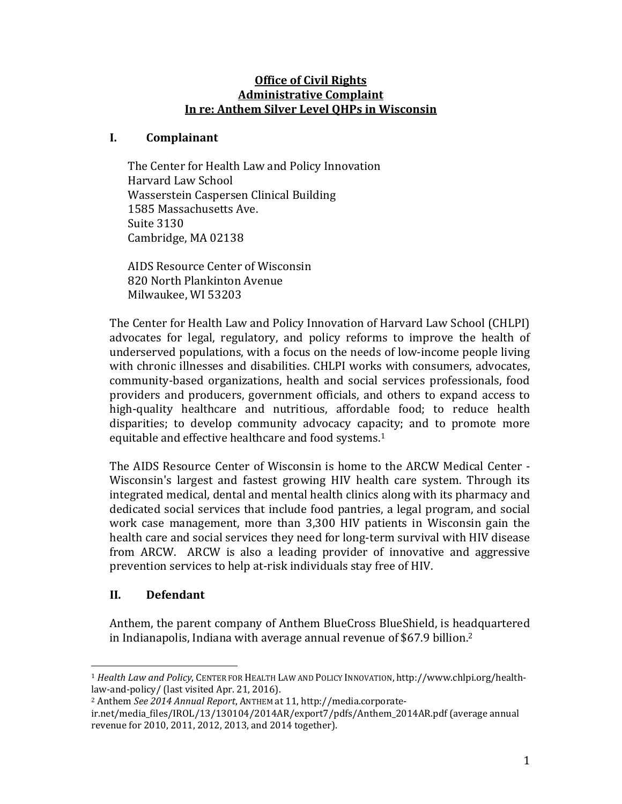### **Office of Civil Rights Administrative Complaint In re: Anthem Silver Level QHPs in Wisconsin**

### **I. Complainant**

The Center for Health Law and Policy Innovation Harvard Law School Wasserstein Caspersen Clinical Building 1585 Massachusetts Ave. Suite 3130 Cambridge, MA 02138

AIDS Resource Center of Wisconsin 820 North Plankinton Avenue Milwaukee, WI 53203

The Center for Health Law and Policy Innovation of Harvard Law School (CHLPI) advocates for legal, regulatory, and policy reforms to improve the health of underserved populations, with a focus on the needs of low-income people living with chronic illnesses and disabilities. CHLPI works with consumers, advocates, community-based organizations, health and social services professionals, food providers and producers, government officials, and others to expand access to high-quality healthcare and nutritious, affordable food; to reduce health disparities; to develop community advocacy capacity; and to promote more equitable and effective healthcare and food systems.<sup>1</sup>

The AIDS Resource Center of Wisconsin is home to the ARCW Medical Center -Wisconsin's largest and fastest growing HIV health care system. Through its integrated medical, dental and mental health clinics along with its pharmacy and dedicated social services that include food pantries, a legal program, and social work case management, more than 3,300 HIV patients in Wisconsin gain the health care and social services they need for long-term survival with HIV disease from ARCW. ARCW is also a leading provider of innovative and aggressive prevention services to help at-risk individuals stay free of HIV.

## **II. Defendant**

 

Anthem, the parent company of Anthem BlueCross BlueShield, is headquartered in Indianapolis, Indiana with average annual revenue of \$67.9 billion.<sup>2</sup>

<sup>&</sup>lt;sup>1</sup> *Health Law and Policy*, CENTER FOR HEALTH LAW AND POLICY INNOVATION, http://www.chlpi.org/healthlaw-and-policy/ (last visited Apr. 21, 2016).

<sup>&</sup>lt;sup>2</sup> Anthem See 2014 Annual Report, ANTHEM at 11, http://media.corporate-

ir.net/media\_files/IROL/13/130104/2014AR/export7/pdfs/Anthem\_2014AR.pdf (average annual revenue for 2010, 2011, 2012, 2013, and 2014 together).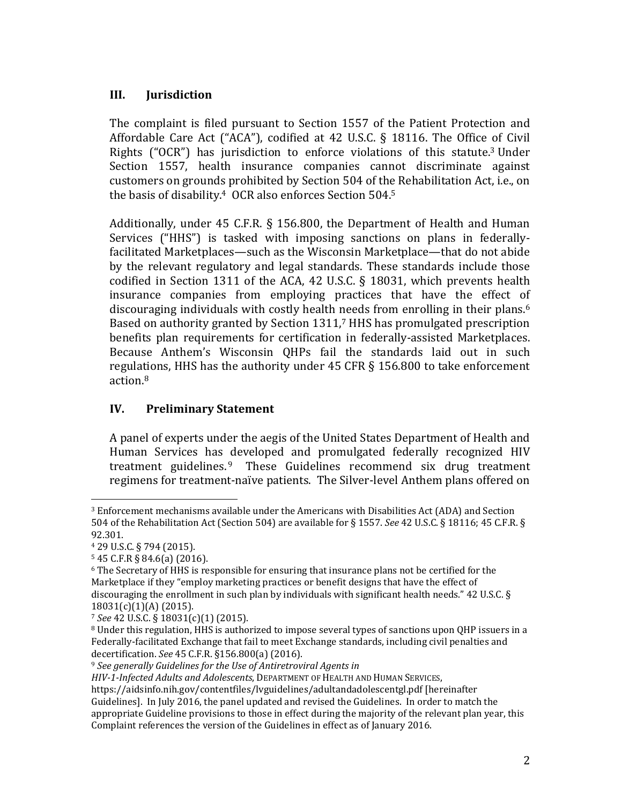## **III. Jurisdiction**

The complaint is filed pursuant to Section 1557 of the Patient Protection and Affordable Care Act ("ACA"), codified at 42 U.S.C. § 18116. The Office of Civil Rights  $("OCR")$  has jurisdiction to enforce violations of this statute.<sup>3</sup> Under Section 1557, health insurance companies cannot discriminate against customers on grounds prohibited by Section 504 of the Rehabilitation Act, i.e., on the basis of disability.<sup>4</sup> OCR also enforces Section  $504.5$ 

Additionally, under  $45$  C.F.R. § 156.800, the Department of Health and Human Services ("HHS") is tasked with imposing sanctions on plans in federallyfacilitated Marketplaces—such as the Wisconsin Marketplace—that do not abide by the relevant regulatory and legal standards. These standards include those codified in Section 1311 of the ACA, 42 U.S.C. § 18031, which prevents health insurance companies from employing practices that have the effect of discouraging individuals with costly health needs from enrolling in their plans.<sup>6</sup> Based on authority granted by Section  $1311$ , HHS has promulgated prescription benefits plan requirements for certification in federally-assisted Marketplaces. Because Anthem's Wisconsin QHPs fail the standards laid out in such regulations, HHS has the authority under  $45$  CFR  $\S$  156.800 to take enforcement action.8 

## **IV. Preliminary Statement**

A panel of experts under the aegis of the United States Department of Health and Human Services has developed and promulgated federally recognized HIV treatment guidelines. $9$  These Guidelines recommend six drug treatment regimens for treatment-naïve patients. The Silver-level Anthem plans offered on

<sup>&</sup>lt;sup>3</sup> Enforcement mechanisms available under the Americans with Disabilities Act (ADA) and Section 504 of the Rehabilitation Act (Section 504) are available for § 1557. *See* 42 U.S.C. § 18116; 45 C.F.R. § 92.301. 

<sup>4 29</sup> U.S.C. § 794 (2015). 

 $5$  45 C.F.R § 84.6(a) (2016).

 $6$  The Secretary of HHS is responsible for ensuring that insurance plans not be certified for the Marketplace if they "employ marketing practices or benefit designs that have the effect of discouraging the enrollment in such plan by individuals with significant health needs."  $42$  U.S.C. § 18031(c)(1)(A) (2015).

<sup>&</sup>lt;sup>7</sup> See 42 U.S.C. § 18031(c)(1) (2015).

<sup>&</sup>lt;sup>8</sup> Under this regulation, HHS is authorized to impose several types of sanctions upon QHP issuers in a Federally-facilitated Exchange that fail to meet Exchange standards, including civil penalties and decertification. *See* 45 C.F.R. §156.800(a) (2016). 

<sup>9</sup> *See generally Guidelines for the Use of Antiretroviral Agents in*

*HIV‐1‐Infected Adults and Adolescents*, DEPARTMENT OF HEALTH AND HUMAN SERVICES, 

https://aidsinfo.nih.gov/contentfiles/lvguidelines/adultandadolescentgl.pdf [hereinafter] Guidelines]. In July 2016, the panel updated and revised the Guidelines. In order to match the appropriate Guideline provisions to those in effect during the majority of the relevant plan year, this Complaint references the version of the Guidelines in effect as of January 2016.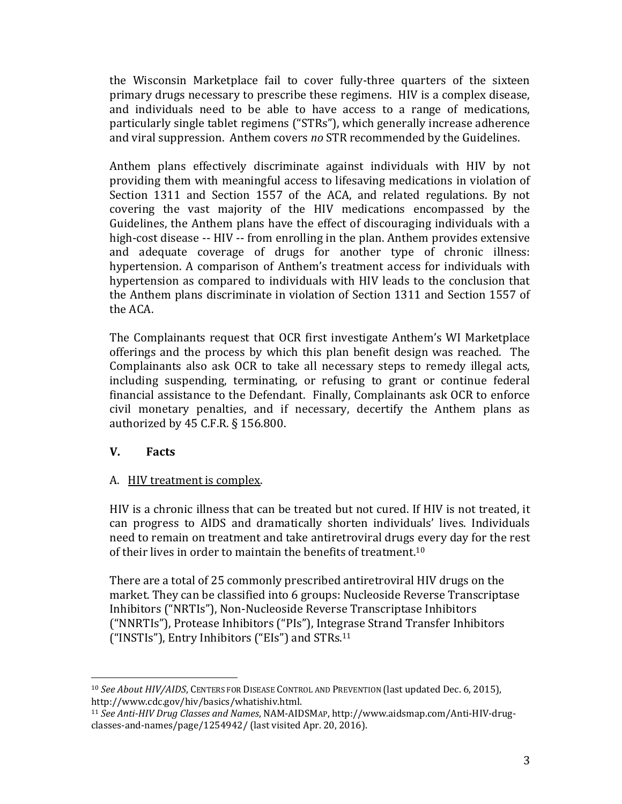the Wisconsin Marketplace fail to cover fully-three quarters of the sixteen primary drugs necessary to prescribe these regimens. HIV is a complex disease, and individuals need to be able to have access to a range of medications, particularly single tablet regimens ("STRs"), which generally increase adherence and viral suppression. Anthem covers *no* STR recommended by the Guidelines.

Anthem plans effectively discriminate against individuals with HIV by not providing them with meaningful access to lifesaving medications in violation of Section  $1311$  and Section  $1557$  of the ACA, and related regulations. By not covering the vast majority of the HIV medications encompassed by the Guidelines, the Anthem plans have the effect of discouraging individuals with a high-cost disease -- HIV -- from enrolling in the plan. Anthem provides extensive and adequate coverage of drugs for another type of chronic illness: hypertension. A comparison of Anthem's treatment access for individuals with hypertension as compared to individuals with HIV leads to the conclusion that the Anthem plans discriminate in violation of Section 1311 and Section 1557 of the ACA.

The Complainants request that OCR first investigate Anthem's WI Marketplace offerings and the process by which this plan benefit design was reached. The Complainants also ask OCR to take all necessary steps to remedy illegal acts, including suspending, terminating, or refusing to grant or continue federal financial assistance to the Defendant. Finally, Complainants ask OCR to enforce civil monetary penalties, and if necessary, decertify the Anthem plans as authorized by  $45$  C.F.R.  $\S$  156.800.

## **V. Facts**

## A. HIV treatment is complex.

 

HIV is a chronic illness that can be treated but not cured. If HIV is not treated, it can progress to AIDS and dramatically shorten individuals' lives. Individuals need to remain on treatment and take antiretroviral drugs every day for the rest of their lives in order to maintain the benefits of treatment.<sup>10</sup>

There are a total of 25 commonly prescribed antiretroviral HIV drugs on the market. They can be classified into 6 groups: Nucleoside Reverse Transcriptase Inhibitors ("NRTIs"), Non-Nucleoside Reverse Transcriptase Inhibitors ("NNRTIs"), Protease Inhibitors ("PIs"), Integrase Strand Transfer Inhibitors ("INSTIs"), Entry Inhibitors ("EIs") and  $STRs$ .<sup>11</sup>

<sup>&</sup>lt;sup>10</sup> See About HIV/AIDS, CENTERS FOR DISEASE CONTROL AND PREVENTION (last updated Dec. 6, 2015), http://www.cdc.gov/hiv/basics/whatishiv.html. 

<sup>11</sup> *See Anti‐HIV Drug Classes and Names*, NAM‐AIDSMAP, http://www.aidsmap.com/Anti‐HIV‐drug‐ classes-and-names/page/1254942/ (last visited Apr. 20, 2016).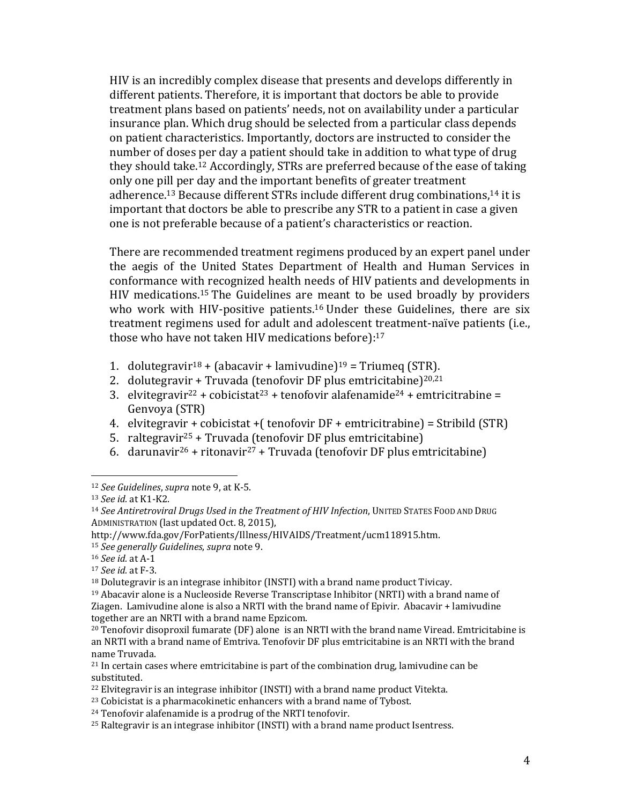HIV is an incredibly complex disease that presents and develops differently in different patients. Therefore, it is important that doctors be able to provide treatment plans based on patients' needs, not on availability under a particular insurance plan. Which drug should be selected from a particular class depends on patient characteristics. Importantly, doctors are instructed to consider the number of doses per day a patient should take in addition to what type of drug they should take.<sup>12</sup> Accordingly, STRs are preferred because of the ease of taking only one pill per day and the important benefits of greater treatment adherence.<sup>13</sup> Because different STRs include different drug combinations,<sup>14</sup> it is important that doctors be able to prescribe any STR to a patient in case a given one is not preferable because of a patient's characteristics or reaction.

There are recommended treatment regimens produced by an expert panel under the aegis of the United States Department of Health and Human Services in conformance with recognized health needs of HIV patients and developments in HIV medications.<sup>15</sup> The Guidelines are meant to be used broadly by providers who work with HIV-positive patients.<sup>16</sup> Under these Guidelines, there are six treatment regimens used for adult and adolescent treatment-naïve patients (i.e., those who have not taken HIV medications before):<sup>17</sup>

- 1. dolutegravir<sup>18</sup> + (abacavir + lamivudine)<sup>19</sup> = Triumeg (STR).
- 2. dolutegravir + Truvada (tenofovir DF plus emtricitabine)<sup>20,21</sup>
- 3. elvitegravir<sup>22</sup> + cobicistat<sup>23</sup> + tenofovir alafenamide<sup>24</sup> + emtricitrabine = Genvoya (STR)
- 4. elvitegravir + cobicistat + (tenofovir  $DF +$  emtricitrabine) = Stribild (STR)
- 5. raltegravir<sup>25</sup> + Truvada (tenofovir DF plus emtricitabine)
- 6. darunavir<sup>26</sup> + ritonavir<sup>27</sup> + Truvada (tenofovir DF plus emtricitabine)

 12 *See Guidelines, supra* note 9, at K-5.

<sup>13</sup> *See id.* at K1‐K2. 

<sup>14</sup> *See Antiretroviral Drugs Used in the Treatment of HIV Infection*, UNITED STATES FOOD AND DRUG ADMINISTRATION (last updated Oct. 8, 2015),

http://www.fda.gov/ForPatients/Illness/HIVAIDS/Treatment/ucm118915.htm. 

<sup>15</sup> *See generally Guidelines, supra* note 9.

<sup>16</sup> *See id.* at A‐1 

<sup>17</sup> *See id.* at F‐3. 

 $18$  Dolutegravir is an integrase inhibitor (INSTI) with a brand name product Tivicav.

 $19$  Abacavir alone is a Nucleoside Reverse Transcriptase Inhibitor (NRTI) with a brand name of Ziagen. Lamivudine alone is also a NRTI with the brand name of Epivir. Abacavir  $+$  lamivudine together are an NRTI with a brand name Epzicom.

 $^{20}$  Tenofovir disoproxil fumarate (DF) alone is an NRTI with the brand name Viread. Emtricitabine is an NRTI with a brand name of Emtriva. Tenofovir DF plus emtricitabine is an NRTI with the brand name Truvada.

 $21$  In certain cases where emtricitabine is part of the combination drug, lamivudine can be substituted. 

 $^{22}$  Elvitegravir is an integrase inhibitor (INSTI) with a brand name product Vitekta.

 $23$  Cobicistat is a pharmacokinetic enhancers with a brand name of Tybost.

 $24$  Tenofovir alafenamide is a prodrug of the NRTI tenofovir.

 $25$  Raltegravir is an integrase inhibitor (INSTI) with a brand name product Isentress.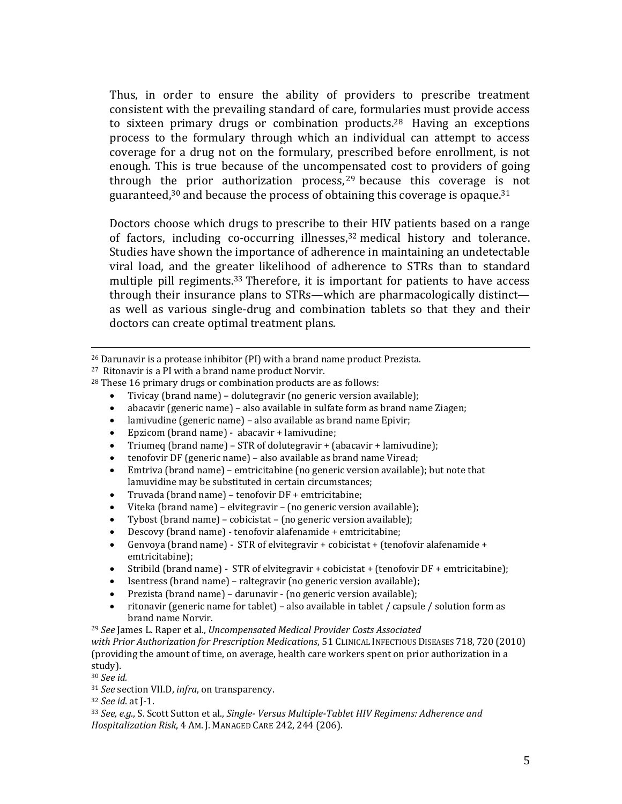Thus, in order to ensure the ability of providers to prescribe treatment consistent with the prevailing standard of care, formularies must provide access to sixteen primary drugs or combination products.<sup>28</sup> Having an exceptions process to the formulary through which an individual can attempt to access coverage for a drug not on the formulary, prescribed before enrollment, is not enough. This is true because of the uncompensated cost to providers of going through the prior authorization process,  $29$  because this coverage is not guaranteed,  $30$  and because the process of obtaining this coverage is opaque.  $31$ 

Doctors choose which drugs to prescribe to their HIV patients based on a range of factors, including co-occurring illnesses, $32 \text{ medical history}$  and tolerance. Studies have shown the importance of adherence in maintaining an undetectable viral load, and the greater likelihood of adherence to STRs than to standard multiple pill regiments.<sup>33</sup> Therefore, it is important for patients to have access through their insurance plans to  $STRs$ —which are pharmacologically distinct as well as various single-drug and combination tablets so that they and their doctors can create optimal treatment plans.

<u> 1989 - Andrea San Andrew Maria (h. 1989).</u><br>1900 - Andrew Maria (h. 1980).

 $^{26}$  Darunavir is a protease inhibitor (PI) with a brand name product Prezista.

 $27$  Ritonavir is a PI with a brand name product Norvir.

 $28$  These 16 primary drugs or combination products are as follows:

Tivicay (brand name) – dolutegravir (no generic version available);

• abacavir (generic name) – also available in sulfate form as brand name Ziagen;

 $\bullet$  lamivudine (generic name) – also available as brand name Epivir;

● Epzicom (brand name) - abacavir + lamivudine;

• Triumeg (brand name) – STR of dolutegravir + (abacavir + lamivudine);

tenofovir DF (generic name) – also available as brand name Viread;

Emtriva (brand name) - emtricitabine (no generic version available); but note that lamuvidine may be substituted in certain circumstances:

• Truvada (brand name) – tenofovir DF + emtricitabine;

• Viteka (brand name) – elvitegravir – (no generic version available);

Tybost (brand name) – cobicistat – (no generic version available);

• Descovy (brand name) - tenofovir alafenamide + emtricitabine;

Genvoya (brand name) - STR of elvitegravir + cobicistat + (tenofovir alafenamide + emtricitabine); 

• Stribild (brand name) - STR of elvitegravir + cobicistat + (tenofovir DF + emtricitabine);

Isentress (brand name) – raltegravir (no generic version available);

Prezista (brand name) – darunavir - (no generic version available);

ritonavir (generic name for tablet) – also available in tablet / capsule / solution form as brand name Norvir.

<sup>29</sup> *See* James L. Raper et al., *Uncompensated Medical Provider Costs Associated with Prior Authorization for Prescription Medications*, 51 CLINICAL INFECTIOUS DISEASES 718, 720 (2010) (providing the amount of time, on average, health care workers spent on prior authorization in a study). 

<sup>30</sup> *See id.* 

<sup>31</sup> *See* section VII.D, *infra*, on transparency.

<sup>32</sup> *See id.* at J‐1. 

<sup>33</sup> *See, e.g.*, S. Scott Sutton et al., *Single‐ Versus Multiple‐Tablet HIV Regimens: Adherence and Hospitalization Risk, 4 AM. J. MANAGED CARE* 242, 244 (206).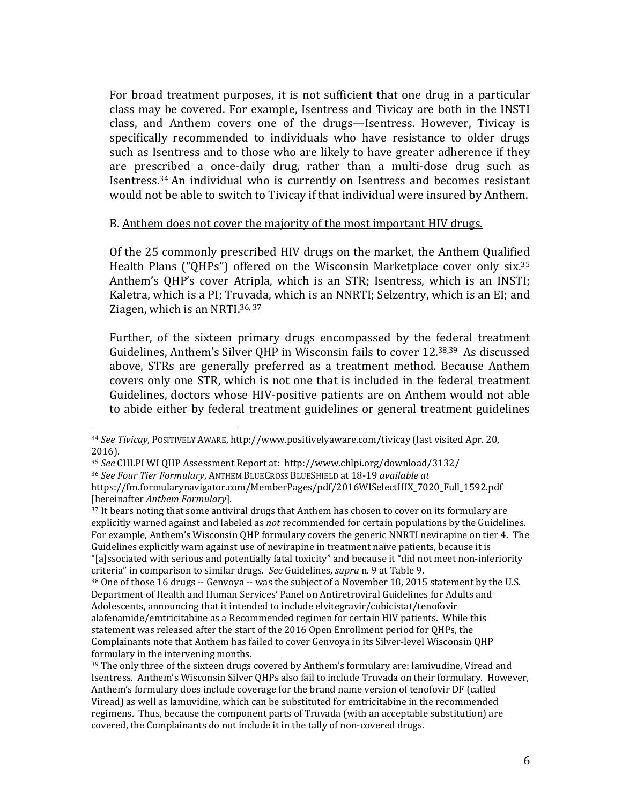For broad treatment purposes, it is not sufficient that one drug in a particular class may be covered. For example, Isentress and Tivicay are both in the INSTI class, and Anthem covers one of the drugs—Isentress. However, Tivicay is specifically recommended to individuals who have resistance to older drugs such as Isentress and to those who are likely to have greater adherence if they are prescribed a once-daily drug, rather than a multi-dose drug such as Isentress.<sup>34</sup> An individual who is currently on Isentress and becomes resistant would not be able to switch to Tivicay if that individual were insured by Anthem.

#### B. Anthem does not cover the majority of the most important HIV drugs.

Of the 25 commonly prescribed HIV drugs on the market, the Anthem Oualified Health Plans ("QHPs") offered on the Wisconsin Marketplace cover only  $six.^{35}$ Anthem's QHP's cover Atripla, which is an STR; Isentress, which is an INSTI; Kaletra, which is a PI; Truvada, which is an NNRTI; Selzentry, which is an EI; and Ziagen, which is an NRTI.<sup>36, 37</sup>

Further, of the sixteen primary drugs encompassed by the federal treatment Guidelines, Anthem's Silver QHP in Wisconsin fails to cover 12.<sup>38,39</sup> As discussed above, STRs are generally preferred as a treatment method. Because Anthem covers only one STR, which is not one that is included in the federal treatment Guidelines, doctors whose HIV-positive patients are on Anthem would not able to abide either by federal treatment guidelines or general treatment guidelines

 

criteria" in comparison to similar drugs. See Guidelines, *supra* n. 9 at Table 9.

<sup>34</sup> See Tivicay, POSITIVELY AWARE, http://www.positivelyaware.com/tivicay (last visited Apr. 20, 2016). 

<sup>&</sup>lt;sup>35</sup> See CHLPI WI QHP Assessment Report at: http://www.chlpi.org/download/3132/ <sup>36</sup> *See Four Tier Formulary*, ANTHEM BLUECROSS BLUESHIELD at 18‐19 *available at* https://fm.formularynavigator.com/MemberPages/pdf/2016WISelectHIX\_7020\_Full\_1592.pdf [hereinafter *Anthem Formulary*]. 

<sup>&</sup>lt;sup>37</sup> It bears noting that some antiviral drugs that Anthem has chosen to cover on its formulary are explicitly warned against and labeled as *not* recommended for certain populations by the Guidelines. For example, Anthem's Wisconsin QHP formulary covers the generic NNRTI nevirapine on tier 4. The Guidelines explicitly warn against use of nevirapine in treatment naïve patients, because it is "[a]ssociated with serious and potentially fatal toxicity" and because it "did not meet non-inferiority

 $38$  One of those 16 drugs -- Genvoya -- was the subject of a November 18, 2015 statement by the U.S. Department of Health and Human Services' Panel on Antiretroviral Guidelines for Adults and Adolescents, announcing that it intended to include elvitegravir/cobicistat/tenofovir alafenamide/emtricitabine as a Recommended regimen for certain HIV patients. While this statement was released after the start of the 2016 Open Enrollment period for QHPs, the Complainants note that Anthem has failed to cover Genvoya in its Silver-level Wisconsin QHP formulary in the intervening months.

 $39$  The only three of the sixteen drugs covered by Anthem's formulary are: lamivudine, Viread and Isentress. Anthem's Wisconsin Silver OHPs also fail to include Truvada on their formulary. However, Anthem's formulary does include coverage for the brand name version of tenofovir DF (called Viread) as well as lamuvidine, which can be substituted for emtricitabine in the recommended regimens. Thus, because the component parts of Truvada (with an acceptable substitution) are covered, the Complainants do not include it in the tally of non-covered drugs.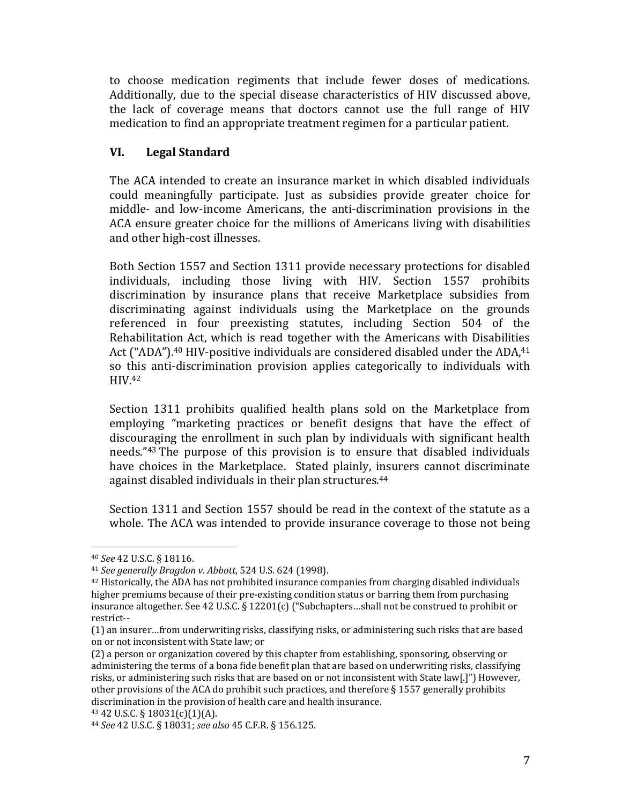to choose medication regiments that include fewer doses of medications. Additionally, due to the special disease characteristics of HIV discussed above, the lack of coverage means that doctors cannot use the full range of HIV medication to find an appropriate treatment regimen for a particular patient.

## **VI. Legal Standard**

The ACA intended to create an insurance market in which disabled individuals could meaningfully participate. Just as subsidies provide greater choice for middle- and low-income Americans, the anti-discrimination provisions in the ACA ensure greater choice for the millions of Americans living with disabilities and other high-cost illnesses.

Both Section 1557 and Section 1311 provide necessary protections for disabled individuals, including those living with HIV. Section 1557 prohibits discrimination by insurance plans that receive Marketplace subsidies from discriminating against individuals using the Marketplace on the grounds referenced in four preexisting statutes, including Section 504 of the Rehabilitation Act, which is read together with the Americans with Disabilities Act ("ADA").<sup>40</sup> HIV-positive individuals are considered disabled under the ADA,<sup>41</sup> so this anti-discrimination provision applies categorically to individuals with HIV.42 

Section 1311 prohibits qualified health plans sold on the Marketplace from employing "marketing practices or benefit designs that have the effect of discouraging the enrollment in such plan by individuals with significant health needs."43 The purpose of this provision is to ensure that disabled individuals have choices in the Marketplace. Stated plainly, insurers cannot discriminate against disabled individuals in their plan structures.<sup>44</sup>

Section 1311 and Section 1557 should be read in the context of the statute as a whole. The ACA was intended to provide insurance coverage to those not being

<sup>40</sup> *See* 42 U.S.C. § 18116. 

<sup>41</sup> *See generally Bragdon v. Abbott*, 524 U.S. 624 (1998). 

 $42$  Historically, the ADA has not prohibited insurance companies from charging disabled individuals higher premiums because of their pre-existing condition status or barring them from purchasing insurance altogether. See 42 U.S.C. § 12201(c) ("Subchapters...shall not be construed to prohibit or restrict‐‐ 

<sup>(1)</sup> an insurer…from underwriting risks, classifying risks, or administering such risks that are based on or not inconsistent with State law; or

<sup>(2)</sup> a person or organization covered by this chapter from establishing, sponsoring, observing or administering the terms of a bona fide benefit plan that are based on underwriting risks, classifying risks, or administering such risks that are based on or not inconsistent with State law[.]") However, other provisions of the ACA do prohibit such practices, and therefore  $\S$  1557 generally prohibits discrimination in the provision of health care and health insurance.

 $43$  42 U.S.C. § 18031(c)(1)(A).

<sup>44</sup> *See* 42 U.S.C. § 18031; *see also* 45 C.F.R. § 156.125.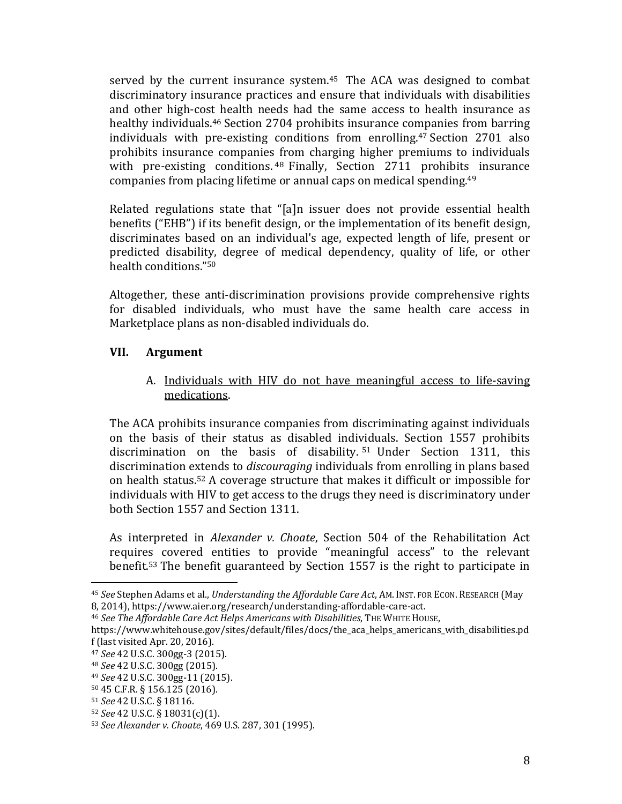served by the current insurance system.<sup>45</sup> The ACA was designed to combat discriminatory insurance practices and ensure that individuals with disabilities and other high-cost health needs had the same access to health insurance as healthy individuals.<sup>46</sup> Section 2704 prohibits insurance companies from barring individuals with pre-existing conditions from enrolling.<sup>47</sup> Section  $2701$  also prohibits insurance companies from charging higher premiums to individuals with pre-existing conditions.  $48$  Finally, Section 2711 prohibits insurance companies from placing lifetime or annual caps on medical spending. $49$ 

Related regulations state that "[a]n issuer does not provide essential health benefits ("EHB") if its benefit design, or the implementation of its benefit design, discriminates based on an individual's age, expected length of life, present or predicted disability, degree of medical dependency, quality of life, or other health conditions."<sup>50</sup>

Altogether, these anti-discrimination provisions provide comprehensive rights for disabled individuals, who must have the same health care access in Marketplace plans as non-disabled individuals do.

## **VII. Argument**

A. Individuals with HIV do not have meaningful access to life-saving medications. 

The ACA prohibits insurance companies from discriminating against individuals on the basis of their status as disabled individuals. Section 1557 prohibits discrimination on the basis of disability. <sup>51</sup> Under Section 1311, this discrimination extends to *discouraging* individuals from enrolling in plans based on health status.<sup>52</sup> A coverage structure that makes it difficult or impossible for individuals with HIV to get access to the drugs they need is discriminatory under both Section 1557 and Section 1311.

As interpreted in *Alexander v. Choate*, Section 504 of the Rehabilitation Act requires covered entities to provide "meaningful access" to the relevant benefit.<sup>53</sup> The benefit guaranteed by Section 1557 is the right to participate in

 <sup>45</sup> *See* Stephen Adams et al., *Understanding the Affordable Care Act*, AM. INST. FOR ECON. RESEARCH (May 8, 2014), https://www.aier.org/research/understanding-affordable-care-act.

<sup>46</sup> *See The Affordable Care Act Helps Americans with Disabilities*, THE WHITE HOUSE,

https://www.whitehouse.gov/sites/default/files/docs/the\_aca\_helps\_americans\_with\_disabilities.pd  $f$  (last visited Apr. 20, 2016).

<sup>47</sup> *See* 42 U.S.C. 300gg‐3 (2015). 

<sup>&</sup>lt;sup>48</sup> *See* 42 U.S.C. 300gg (2015).

<sup>49</sup> *See* 42 U.S.C. 300gg‐11 (2015). 

<sup>50 45</sup> C.F.R. § 156.125 (2016). 

<sup>51</sup> *See* 42 U.S.C. § 18116. 

<sup>52</sup> *See* 42 U.S.C. § 18031(c)(1). 

<sup>53</sup> *See Alexander v. Choate,* 469 U.S. 287, 301 (1995).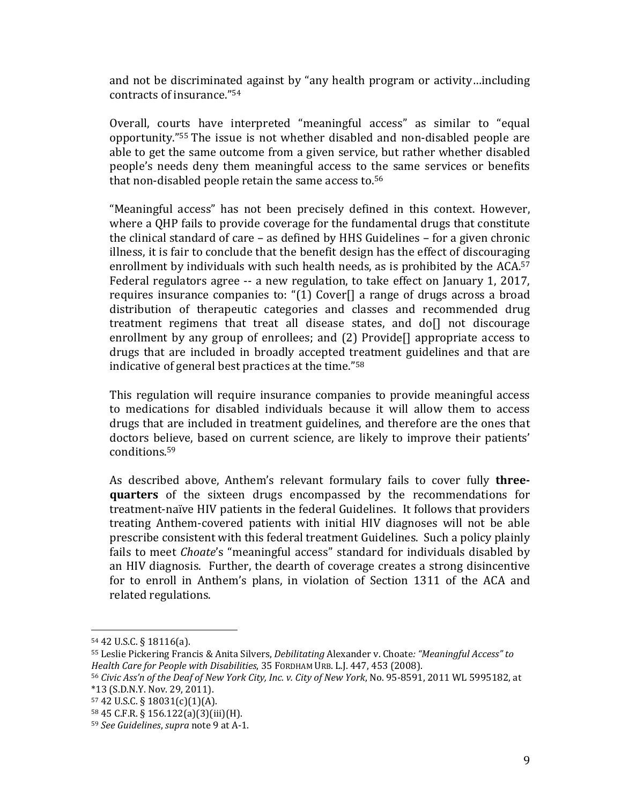and not be discriminated against by "any health program or activity...including contracts of insurance."<sup>54</sup>

Overall, courts have interpreted "meaningful access" as similar to "equal opportunity."<sup>55</sup> The issue is not whether disabled and non-disabled people are able to get the same outcome from a given service, but rather whether disabled people's needs deny them meaningful access to the same services or benefits that non-disabled people retain the same access to.<sup>56</sup>

"Meaningful access" has not been precisely defined in this context. However, where a QHP fails to provide coverage for the fundamental drugs that constitute the clinical standard of care  $-$  as defined by HHS Guidelines  $-$  for a given chronic illness, it is fair to conclude that the benefit design has the effect of discouraging enrollment by individuals with such health needs, as is prohibited by the  $ACA^{57}$ Federal regulators agree  $-$  a new regulation, to take effect on January 1, 2017, requires insurance companies to: " $(1)$  Cover $[$ ] a range of drugs across a broad distribution of therapeutic categories and classes and recommended drug treatment regimens that treat all disease states, and do[] not discourage enrollment by any group of enrollees; and  $(2)$  Provide $[$ ] appropriate access to drugs that are included in broadly accepted treatment guidelines and that are indicative of general best practices at the time." $58$ 

This regulation will require insurance companies to provide meaningful access to medications for disabled individuals because it will allow them to access drugs that are included in treatment guidelines, and therefore are the ones that doctors believe, based on current science, are likely to improve their patients' conditions.59 

As described above, Anthem's relevant formulary fails to cover fully **threequarters** of the sixteen drugs encompassed by the recommendations for treatment-naïve HIV patients in the federal Guidelines. It follows that providers treating Anthem-covered patients with initial HIV diagnoses will not be able prescribe consistent with this federal treatment Guidelines. Such a policy plainly fails to meet *Choate's* "meaningful access" standard for individuals disabled by an HIV diagnosis. Further, the dearth of coverage creates a strong disincentive for to enroll in Anthem's plans, in violation of Section 1311 of the ACA and related regulations.

 $54$  42 U.S.C. § 18116(a).

<sup>55</sup> Leslie Pickering Francis & Anita Silvers, *Debilitating* Alexander v. Choate*: "Meaningful Access" to Health Care for People with Disabilities*, 35 FORDHAM URB. L.J. 447, 453 (2008). 

<sup>56</sup> *Civic Ass'n of the Deaf of New York City, Inc. v. City of New York*, No. 95‐8591, 2011 WL 5995182, at  $*13$  (S.D.N.Y. Nov. 29, 2011).

<sup>57 42</sup> U.S.C. § 18031(c)(1)(A). 

 $58\,45\,$  C.F.R. § 156.122(a)(3)(iii)(H).

<sup>59</sup> *See Guidelines, supra* note 9 at A-1.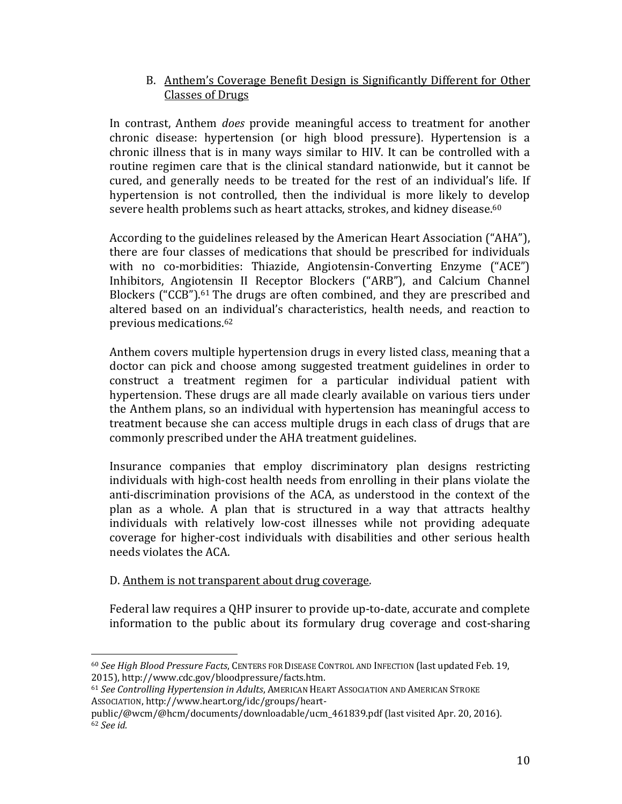## B. Anthem's Coverage Benefit Design is Significantly Different for Other Classes of Drugs

In contrast, Anthem *does* provide meaningful access to treatment for another chronic disease: hypertension (or high blood pressure). Hypertension is a chronic illness that is in many ways similar to HIV. It can be controlled with a routine regimen care that is the clinical standard nationwide, but it cannot be cured, and generally needs to be treated for the rest of an individual's life. If hypertension is not controlled, then the individual is more likely to develop severe health problems such as heart attacks, strokes, and kidney disease.<sup>60</sup>

According to the guidelines released by the American Heart Association ("AHA"), there are four classes of medications that should be prescribed for individuals with no co-morbidities: Thiazide, Angiotensin-Converting Enzyme ("ACE") Inhibitors, Angiotensin II Receptor Blockers ("ARB"), and Calcium Channel Blockers ("CCB").<sup>61</sup> The drugs are often combined, and they are prescribed and altered based on an individual's characteristics, health needs, and reaction to previous medications.<sup>62</sup>

Anthem covers multiple hypertension drugs in every listed class, meaning that a doctor can pick and choose among suggested treatment guidelines in order to construct a treatment regimen for a particular individual patient with hypertension. These drugs are all made clearly available on various tiers under the Anthem plans, so an individual with hypertension has meaningful access to treatment because she can access multiple drugs in each class of drugs that are commonly prescribed under the AHA treatment guidelines.

Insurance companies that employ discriminatory plan designs restricting individuals with high-cost health needs from enrolling in their plans violate the anti-discrimination provisions of the ACA, as understood in the context of the plan as a whole. A plan that is structured in a way that attracts healthy individuals with relatively low-cost illnesses while not providing adequate coverage for higher-cost individuals with disabilities and other serious health needs violates the ACA.

## D. Anthem is not transparent about drug coverage.

 

Federal law requires a QHP insurer to provide up-to-date, accurate and complete information to the public about its formulary drug coverage and cost-sharing

<sup>60</sup> *See High Blood Pressure Facts*, CENTERS FOR DISEASE CONTROL AND INFECTION (last updated Feb. 19, 2015), http://www.cdc.gov/bloodpressure/facts.htm. 

<sup>61</sup> See Controlling Hypertension in Adults, AMERICAN HEART ASSOCIATION AND AMERICAN STROKE Association, http://www.heart.org/idc/groups/heart-

public/@wcm/@hcm/documents/downloadable/ucm 461839.pdf (last visited Apr. 20, 2016). <sup>62</sup> *See id.*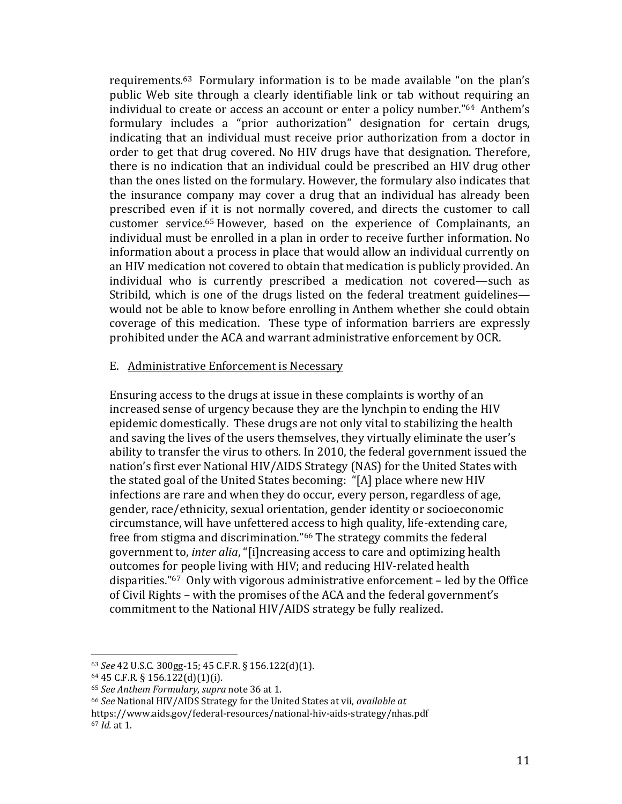requirements.<sup>63</sup> Formulary information is to be made available "on the plan's public Web site through a clearly identifiable link or tab without requiring an individual to create or access an account or enter a policy number." $64$  Anthem's formulary includes a "prior authorization" designation for certain drugs, indicating that an individual must receive prior authorization from a doctor in order to get that drug covered. No HIV drugs have that designation. Therefore, there is no indication that an individual could be prescribed an HIV drug other than the ones listed on the formulary. However, the formulary also indicates that the insurance company may cover a drug that an individual has already been prescribed even if it is not normally covered, and directs the customer to call customer service.<sup>65</sup> However, based on the experience of Complainants, an individual must be enrolled in a plan in order to receive further information. No information about a process in place that would allow an individual currently on an HIV medication not covered to obtain that medication is publicly provided. An individual who is currently prescribed a medication not covered—such as Stribild, which is one of the drugs listed on the federal treatment guidelines would not be able to know before enrolling in Anthem whether she could obtain coverage of this medication. These type of information barriers are expressly prohibited under the ACA and warrant administrative enforcement by OCR.

#### E. Administrative Enforcement is Necessary

Ensuring access to the drugs at issue in these complaints is worthy of an increased sense of urgency because they are the lynchpin to ending the HIV epidemic domestically. These drugs are not only vital to stabilizing the health and saving the lives of the users themselves, they virtually eliminate the user's ability to transfer the virus to others. In 2010, the federal government issued the nation's first ever National HIV/AIDS Strategy (NAS) for the United States with the stated goal of the United States becoming: "[A] place where new HIV infections are rare and when they do occur, every person, regardless of age, gender, race/ethnicity, sexual orientation, gender identity or socioeconomic circumstance, will have unfettered access to high quality, life-extending care, free from stigma and discrimination."<sup>66</sup> The strategy commits the federal government to, *inter alia*, "[i]ncreasing access to care and optimizing health outcomes for people living with HIV; and reducing HIV-related health disparities." $67$  Only with vigorous administrative enforcement – led by the Office of Civil Rights – with the promises of the ACA and the federal government's commitment to the National HIV/AIDS strategy be fully realized.

<sup>63</sup> *See* 42 U.S.C. 300gg‐15; 45 C.F.R. § 156.122(d)(1). 

 $64$  45 C.F.R. § 156.122(d)(1)(i).

<sup>65</sup> *See Anthem Formulary*, *supra* note 36 at 1. 

<sup>66</sup> *See* National HIV/AIDS Strategy for the United States at vii, *available at*

https://www.aids.gov/federal‐resources/national‐hiv‐aids‐strategy/nhas.pdf 

<sup>67</sup> *Id.* at 1.